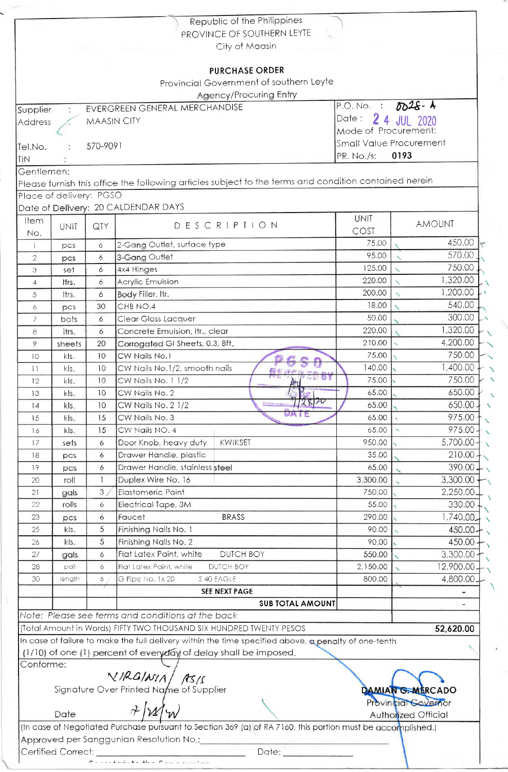|                 |                         |                               | Provincial Government of southern Leyte<br>Agency/Procuring Entry                                                                                                           |                                       |                                          |  |
|-----------------|-------------------------|-------------------------------|-----------------------------------------------------------------------------------------------------------------------------------------------------------------------------|---------------------------------------|------------------------------------------|--|
| Supplier        |                         | EVERGREEN GENERAL MERCHANDISE | Date:                                                                                                                                                                       | P.O. No. : $0.28 - 4$<br>2 4 JUL 2020 |                                          |  |
| Address         |                         | <b>MAASIN CITY</b>            | Mode of Procurement:                                                                                                                                                        |                                       |                                          |  |
| Tel.No.         |                         | 570-9091                      |                                                                                                                                                                             | Small Value Procurement               |                                          |  |
| TIN             |                         |                               |                                                                                                                                                                             | PR. No./s:                            | 0193                                     |  |
| Gentlemen:      |                         |                               |                                                                                                                                                                             |                                       |                                          |  |
|                 |                         |                               | Please furnish this office the following articles subject to the terms and condition contained herein                                                                       |                                       |                                          |  |
|                 | Place of delivery: PGSO |                               |                                                                                                                                                                             |                                       |                                          |  |
|                 |                         |                               | Date of Delivery: 20 CALDENDAR DAYS                                                                                                                                         |                                       |                                          |  |
| Item<br>No.     | <b>UNIT</b>             | QTY                           | DESCRIPTION                                                                                                                                                                 | <b>UNIT</b><br>COST                   | <b>AMOUNT</b>                            |  |
| $\mathbf{1}$    | pcs                     | 6                             | 2-Gang Outlet, surface type                                                                                                                                                 | 75.00                                 | 450.00                                   |  |
| $\mathbf{2}$    | pcs.                    | 6                             | 3-Gang Outlet                                                                                                                                                               | 95.00                                 | 570.00                                   |  |
| 3               | set                     | 6                             | 4x4 Hinges                                                                                                                                                                  | 125.00                                | 750.00                                   |  |
| $\overline{4}$  | ltrs.                   | 6                             | Acrylic Emulsion                                                                                                                                                            | 220.00                                | 1,320.00                                 |  |
| 5               | ltrs.                   | 6                             | Body Filler, Itr.                                                                                                                                                           | 200.00                                | 1,200.00                                 |  |
| $\epsilon$      | pcs                     | 30                            | CHB NO.4                                                                                                                                                                    | 18.00<br>50.00                        | 540.00<br>300.00                         |  |
| 7               | bots                    | 6                             | Clear Gloss Lacquer                                                                                                                                                         | 220.00                                | 1,320.00                                 |  |
| 8               | ltrs.                   | 6<br>20                       | Concrete Emulsion, Itr., clear<br>Corrogated GI Sheets, 0.3, 8ft,                                                                                                           | 210.00                                | 4,200.00                                 |  |
| 9<br>10         | sheets<br>kls.          | 10                            | CW Nails No.1                                                                                                                                                               | 75.00                                 | 750.00                                   |  |
| $\overline{11}$ | kls.                    | 10                            | CW Nails No.1/2, smooth nails                                                                                                                                               | 140.00                                | 1,400.00                                 |  |
| 12              | kls.                    | 10                            | CW Nails No. 1 1/2                                                                                                                                                          | 75.00                                 | 750.00                                   |  |
| 13              | kls.                    | 10                            | Fiit<br>CW Nails No. 2                                                                                                                                                      | 65.00                                 | 650.00                                   |  |
| 4               | kls.                    | 10                            | 112870<br>CW Nails No. 2 1/2                                                                                                                                                | 65.00                                 | $650.00 -$                               |  |
| 15              | kls.                    | 15                            | UMIC<br>CW Nails No. 3                                                                                                                                                      | 65.00                                 | 975.00                                   |  |
| 16              | kls.                    | 15                            | CW Nails NO. 4                                                                                                                                                              | 65.00                                 | $975.00 -$                               |  |
| 17              | sets                    | 6                             | <b>KWIKSET</b><br>Door Knob, heavy duty                                                                                                                                     | 950.00                                | $5,700.00 -$                             |  |
| 18              | pcs                     | 6                             | Drawer Handle, plastic                                                                                                                                                      | 35.00                                 | 210.00                                   |  |
| 19              | pcs                     | 6                             | Drawer Handle, stainless steel                                                                                                                                              | 65.00                                 | 390.00.                                  |  |
| 20              | roll                    | 1                             | Duplex Wire No. 16                                                                                                                                                          | 3,300.00                              | 3,300.00                                 |  |
| 21              | gals                    | 3 <sub>1</sub>                | <b>Elastomeric Paint</b>                                                                                                                                                    | 750.00                                | 2,250.00                                 |  |
| 22              | rolls                   | 6                             | Electrical Tape, 3M<br><b>BRASS</b>                                                                                                                                         | 55.00<br>290.00                       | 330.00                                   |  |
| 23<br>25        | pcs<br>kls.             | 6<br>5                        | Faucet<br>Finishing Nails No. 1                                                                                                                                             | 90.00                                 | 1,740.00_<br>450.00-                     |  |
| 26              | kls.                    | 5                             | Finishing Nails No. 2                                                                                                                                                       | 90.00                                 | 450.00                                   |  |
| 27              | gals                    | 6                             | Flat Latex Paint, white<br>DUTCH BOY                                                                                                                                        | 550.00                                | 3,300.00                                 |  |
| 28              | pail                    | 6                             | Flat Latex Paint, white<br>DUTCH BOY                                                                                                                                        | 2,150.00                              | 12,900.00-                               |  |
| 30              | length                  | 6                             | G Pipe No. 1x 20<br>S 40 EAGLE                                                                                                                                              | 800.00                                | 4,800.00-                                |  |
|                 |                         |                               | <b>SEE NEXT PAGE</b>                                                                                                                                                        |                                       |                                          |  |
|                 |                         |                               | <b>SUB TOTAL AMOUNT</b>                                                                                                                                                     |                                       |                                          |  |
|                 |                         |                               | Note: Please see terms and conditions at the back                                                                                                                           |                                       |                                          |  |
|                 |                         |                               | (Total Amount in Words) FIFTY TWO THOUSAND SIX HUNDRED TWENTY PESOS<br>In case of failure to make the full delivery within the time specified above, a penalty of one-tenth |                                       | 52,620.00                                |  |
| Conforme:       |                         |                               | (1/10) of one (1) percent of everyday of delay shall be imposed.                                                                                                            |                                       |                                          |  |
|                 |                         |                               | VIRGINIA/ ASIS<br>Signature Over Printed Name of Supplier                                                                                                                   |                                       | DAMIAN G. MERCADO<br>Provincial Governor |  |
|                 |                         |                               | $7)$ $12$                                                                                                                                                                   |                                       |                                          |  |